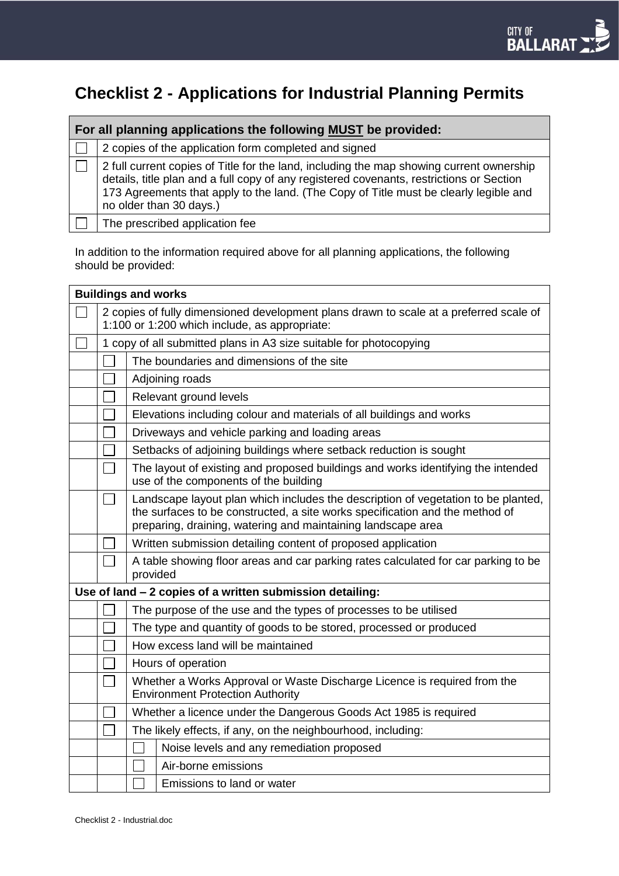# **Checklist 2 - Applications for Industrial Planning Permits**

| For all planning applications the following MUST be provided: |                                                                                                                                                                                                                                                                                                          |  |  |  |  |
|---------------------------------------------------------------|----------------------------------------------------------------------------------------------------------------------------------------------------------------------------------------------------------------------------------------------------------------------------------------------------------|--|--|--|--|
|                                                               | 2 copies of the application form completed and signed                                                                                                                                                                                                                                                    |  |  |  |  |
|                                                               | 2 full current copies of Title for the land, including the map showing current ownership<br>details, title plan and a full copy of any registered covenants, restrictions or Section<br>173 Agreements that apply to the land. (The Copy of Title must be clearly legible and<br>no older than 30 days.) |  |  |  |  |
|                                                               | The prescribed application fee                                                                                                                                                                                                                                                                           |  |  |  |  |

In addition to the information required above for all planning applications, the following should be provided:

| <b>Buildings and works</b>                                |                                                                                                                                                                                                                                   |                                                                      |  |  |  |  |
|-----------------------------------------------------------|-----------------------------------------------------------------------------------------------------------------------------------------------------------------------------------------------------------------------------------|----------------------------------------------------------------------|--|--|--|--|
|                                                           | 2 copies of fully dimensioned development plans drawn to scale at a preferred scale of<br>1:100 or 1:200 which include, as appropriate:                                                                                           |                                                                      |  |  |  |  |
|                                                           | 1 copy of all submitted plans in A3 size suitable for photocopying                                                                                                                                                                |                                                                      |  |  |  |  |
|                                                           |                                                                                                                                                                                                                                   | The boundaries and dimensions of the site                            |  |  |  |  |
|                                                           |                                                                                                                                                                                                                                   | Adjoining roads                                                      |  |  |  |  |
|                                                           |                                                                                                                                                                                                                                   | Relevant ground levels                                               |  |  |  |  |
|                                                           |                                                                                                                                                                                                                                   | Elevations including colour and materials of all buildings and works |  |  |  |  |
|                                                           | Driveways and vehicle parking and loading areas                                                                                                                                                                                   |                                                                      |  |  |  |  |
|                                                           | Setbacks of adjoining buildings where setback reduction is sought                                                                                                                                                                 |                                                                      |  |  |  |  |
|                                                           | The layout of existing and proposed buildings and works identifying the intended<br>use of the components of the building                                                                                                         |                                                                      |  |  |  |  |
|                                                           | Landscape layout plan which includes the description of vegetation to be planted,<br>the surfaces to be constructed, a site works specification and the method of<br>preparing, draining, watering and maintaining landscape area |                                                                      |  |  |  |  |
|                                                           | Written submission detailing content of proposed application                                                                                                                                                                      |                                                                      |  |  |  |  |
|                                                           | A table showing floor areas and car parking rates calculated for car parking to be<br>provided                                                                                                                                    |                                                                      |  |  |  |  |
| Use of land - 2 copies of a written submission detailing: |                                                                                                                                                                                                                                   |                                                                      |  |  |  |  |
|                                                           | The purpose of the use and the types of processes to be utilised                                                                                                                                                                  |                                                                      |  |  |  |  |
|                                                           | The type and quantity of goods to be stored, processed or produced                                                                                                                                                                |                                                                      |  |  |  |  |
|                                                           | How excess land will be maintained                                                                                                                                                                                                |                                                                      |  |  |  |  |
|                                                           | Hours of operation                                                                                                                                                                                                                |                                                                      |  |  |  |  |
|                                                           | Whether a Works Approval or Waste Discharge Licence is required from the<br><b>Environment Protection Authority</b>                                                                                                               |                                                                      |  |  |  |  |
|                                                           | Whether a licence under the Dangerous Goods Act 1985 is required                                                                                                                                                                  |                                                                      |  |  |  |  |
|                                                           |                                                                                                                                                                                                                                   | The likely effects, if any, on the neighbourhood, including:         |  |  |  |  |
|                                                           |                                                                                                                                                                                                                                   | Noise levels and any remediation proposed                            |  |  |  |  |
|                                                           |                                                                                                                                                                                                                                   | Air-borne emissions                                                  |  |  |  |  |
|                                                           |                                                                                                                                                                                                                                   | Emissions to land or water                                           |  |  |  |  |